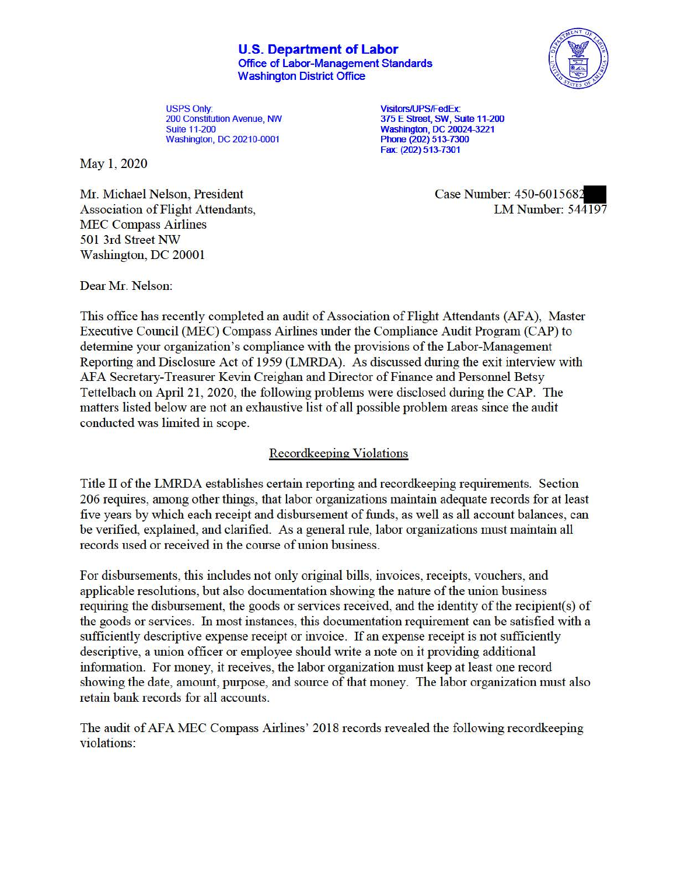**U.S. Department of Labor**  Office of Labor-Management Standards Washington District Office



USPS Only:<br>
200 Constitution Avenue, NW<br>
375 E Street, SW, Street, SW, Street, SW, Street, SW, Street, SW, Street, SW, Street, SW, Street, SW, Street, Washington, DC 20210-0001

May 1, 2020

Mr. Michael Nelson, President Case Number: 450-6015682 MEC Compass Airlines 501 3rd Street NW Washington, DC 20001

200 Constitution Avenue, NW<br>
200 Cuite 11-200<br>
20024-3221<br>
20024-3221 Washington, DC 20024-3221<br>Phone (202) 513-7300 Fax: (202) 513-7301

Association of Flight Attendants, LM Number: 544197

Dear Mr. Nelson:

This office has recently completed an audit of Association of Flight Attendants (AFA), Master Executive Council (MEC) Compass Airlines under the Compliance Audit Program (CAP) to detennine your organization's compliance with the provisions of the Labor-Management Reporting and Disclosure Act of 1959 (LMRDA). As discussed during the exit interview with AFA Secretary-Treasurer Kevin Creighan and Director of Finance and Personnel Betsy Tettelbach on April 21 , 2020, the following problems were disclosed during the CAP. The matters listed below are not an exhaustive list of all possible problem areas since the audit conducted was limited in scope.

## Recordkeeping Violations

Title II of the LMRDA establishes certain reporting and recordkeeping requirements. Section 206 requires, among other things, that labor organizations maintain adequate records for at least five years by which each receipt and disbursement of funds, as well as all account balances, can be verified, explained, and clarified. As a general rule, labor organizations must maintain all records used or received in the course of union business.

For disbursements, this includes not only original bills, invoices, receipts, vouchers, and applicable resolutions, but also documentation showing the nature of the union business requiring the disbursement, the goods or services received, and the identity of the recipient(s) of the goods or services. fu most instances, this documentation requirement can be satisfied with a sufficiently descriptive expense receipt or invoice. If an expense receipt is not sufficiently descriptive, a union officer or employee should write a note on it providing additional infonnation. For money, it receives, the labor organization must keep at least one record showing the date, amount, purpose, and source of that money. The labor organization must also retain bank records for all accounts.

The audit of AFA MEC Compass Airlines' 2018 records revealed the following recordkeeping violations: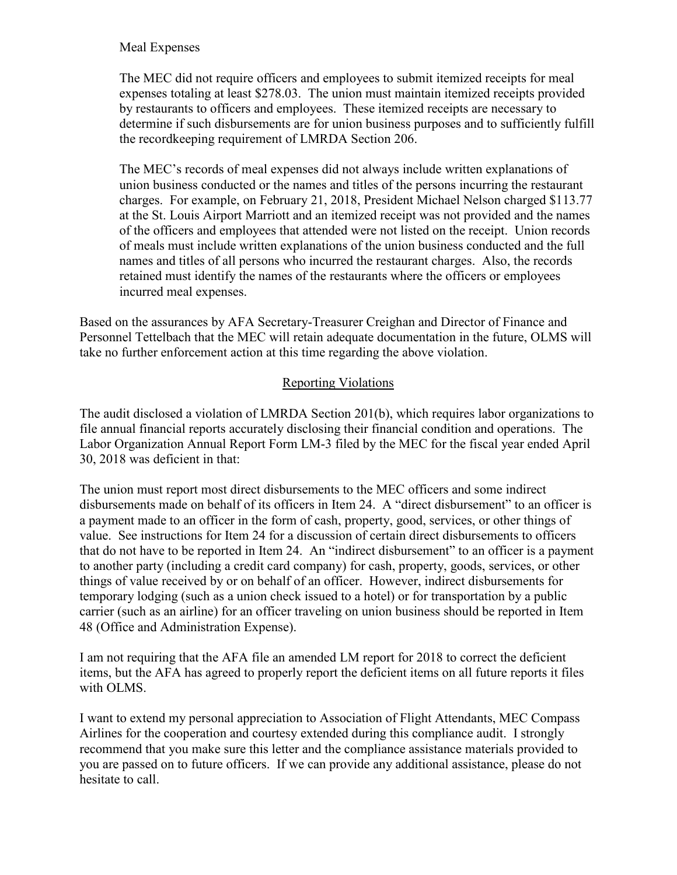## Meal Expenses

 expenses totaling at least \$278.03. The union must maintain itemized receipts provided The MEC did not require officers and employees to submit itemized receipts for meal by restaurants to officers and employees. These itemized receipts are necessary to determine if such disbursements are for union business purposes and to sufficiently fulfill the recordkeeping requirement of LMRDA Section 206.

 at the St. Louis Airport Marriott and an itemized receipt was not provided and the names of the officers and employees that attended were not listed on the receipt. Union records retained must identify the names of the restaurants where the officers or employees incurred meal expenses. The MEC's records of meal expenses did not always include written explanations of union business conducted or the names and titles of the persons incurring the restaurant charges. For example, on February 21, 2018, President Michael Nelson charged \$113.77 of meals must include written explanations of the union business conducted and the full names and titles of all persons who incurred the restaurant charges. Also, the records

 incurred meal expenses. Based on the assurances by AFA Secretary-Treasurer Creighan and Director of Finance and Personnel Tettelbach that the MEC will retain adequate documentation in the future, OLMS will take no further enforcement action at this time regarding the above violation.

## Reporting Violations

 Labor Organization Annual Report Form LM-3 filed by the MEC for the fiscal year ended April The audit disclosed a violation of LMRDA Section 201(b), which requires labor organizations to file annual financial reports accurately disclosing their financial condition and operations. The 30, 2018 was deficient in that:

 The union must report most direct disbursements to the MEC officers and some indirect value. See instructions for Item 24 for a discussion of certain direct disbursements to officers that do not have to be reported in Item 24. An "indirect disbursement" to an officer is a payment disbursements made on behalf of its officers in Item 24. A "direct disbursement" to an officer is a payment made to an officer in the form of cash, property, good, services, or other things of to another party (including a credit card company) for cash, property, goods, services, or other things of value received by or on behalf of an officer. However, indirect disbursements for temporary lodging (such as a union check issued to a hotel) or for transportation by a public carrier (such as an airline) for an officer traveling on union business should be reported in Item 48 (Office and Administration Expense).

I am not requiring that the AFA file an amended LM report for 2018 to correct the deficient items, but the AFA has agreed to properly report the deficient items on all future reports it files with OLMS.

I want to extend my personal appreciation to Association of Flight Attendants, MEC Compass Airlines for the cooperation and courtesy extended during this compliance audit. I strongly recommend that you make sure this letter and the compliance assistance materials provided to you are passed on to future officers. If we can provide any additional assistance, please do not hesitate to call.